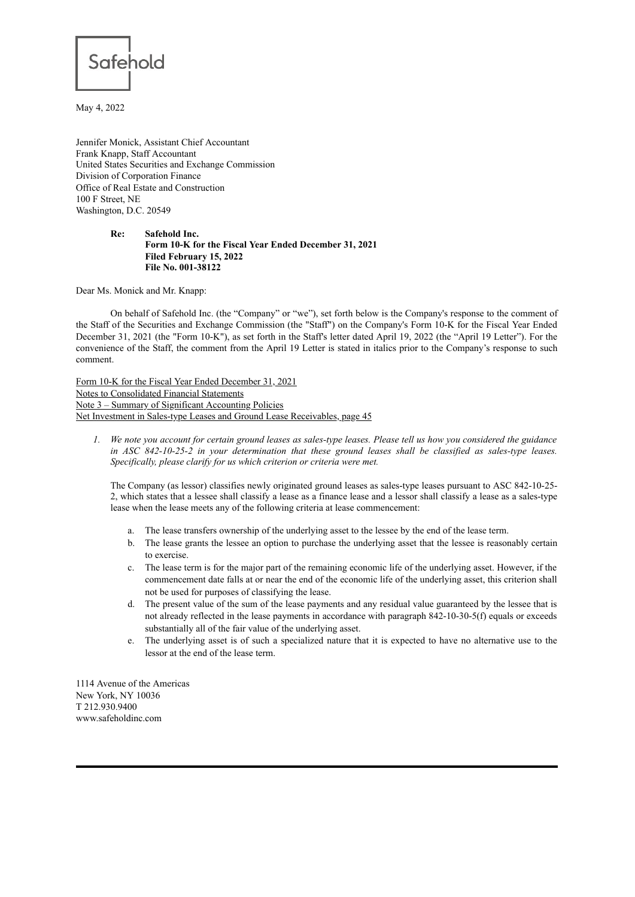

May 4, 2022

Jennifer Monick, Assistant Chief Accountant Frank Knapp, Staff Accountant United States Securities and Exchange Commission Division of Corporation Finance Office of Real Estate and Construction 100 F Street, NE Washington, D.C. 20549

## **Re: Safehold Inc. Form 10-K for the Fiscal Year Ended December 31, 2021 Filed February 15, 2022 File No. 001-38122**

Dear Ms. Monick and Mr. Knapp:

On behalf of Safehold Inc. (the "Company" or "we"), set forth below is the Company's response to the comment of the Staff of the Securities and Exchange Commission (the "Staff") on the Company's Form 10-K for the Fiscal Year Ended December 31, 2021 (the "Form 10-K"), as set forth in the Staff's letter dated April 19, 2022 (the "April 19 Letter"). For the convenience of the Staff, the comment from the April 19 Letter is stated in italics prior to the Company's response to such comment.

Form 10-K for the Fiscal Year Ended December 31, 2021 Notes to Consolidated Financial Statements Note 3 – Summary of Significant Accounting Policies Net Investment in Sales-type Leases and Ground Lease Receivables, page 45

1. We note you account for certain ground leases as sales-type leases. Please tell us how you considered the guidance *in ASC 842-10-25-2 in your determination that these ground leases shall be classified as sales-type leases. Specifically, please clarify for us which criterion or criteria were met.*

The Company (as lessor) classifies newly originated ground leases as sales-type leases pursuant to ASC 842-10-25- 2, which states that a lessee shall classify a lease as a finance lease and a lessor shall classify a lease as a sales-type lease when the lease meets any of the following criteria at lease commencement:

- a. The lease transfers ownership of the underlying asset to the lessee by the end of the lease term.
- b. The lease grants the lessee an option to purchase the underlying asset that the lessee is reasonably certain to exercise.
- c. The lease term is for the major part of the remaining economic life of the underlying asset. However, if the commencement date falls at or near the end of the economic life of the underlying asset, this criterion shall not be used for purposes of classifying the lease.
- d. The present value of the sum of the lease payments and any residual value guaranteed by the lessee that is not already reflected in the lease payments in accordance with paragraph 842-10-30-5(f) equals or exceeds substantially all of the fair value of the underlying asset.
- e. The underlying asset is of such a specialized nature that it is expected to have no alternative use to the lessor at the end of the lease term.

1114 Avenue of the Americas New York, NY 10036 T 212.930.9400 www.safeholdinc.com